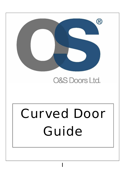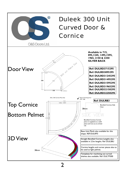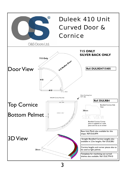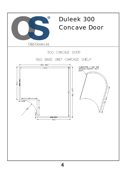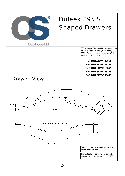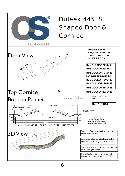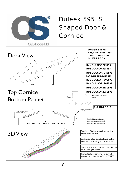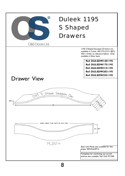

8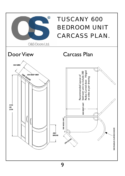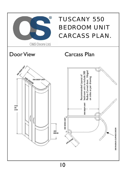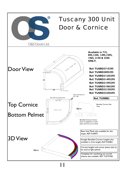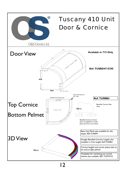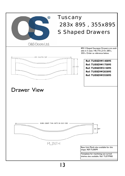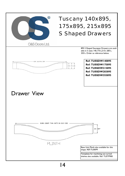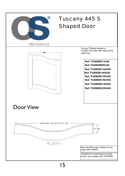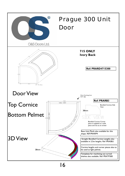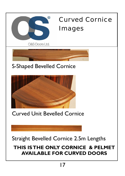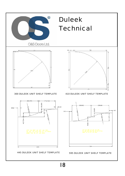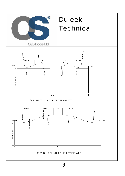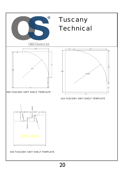